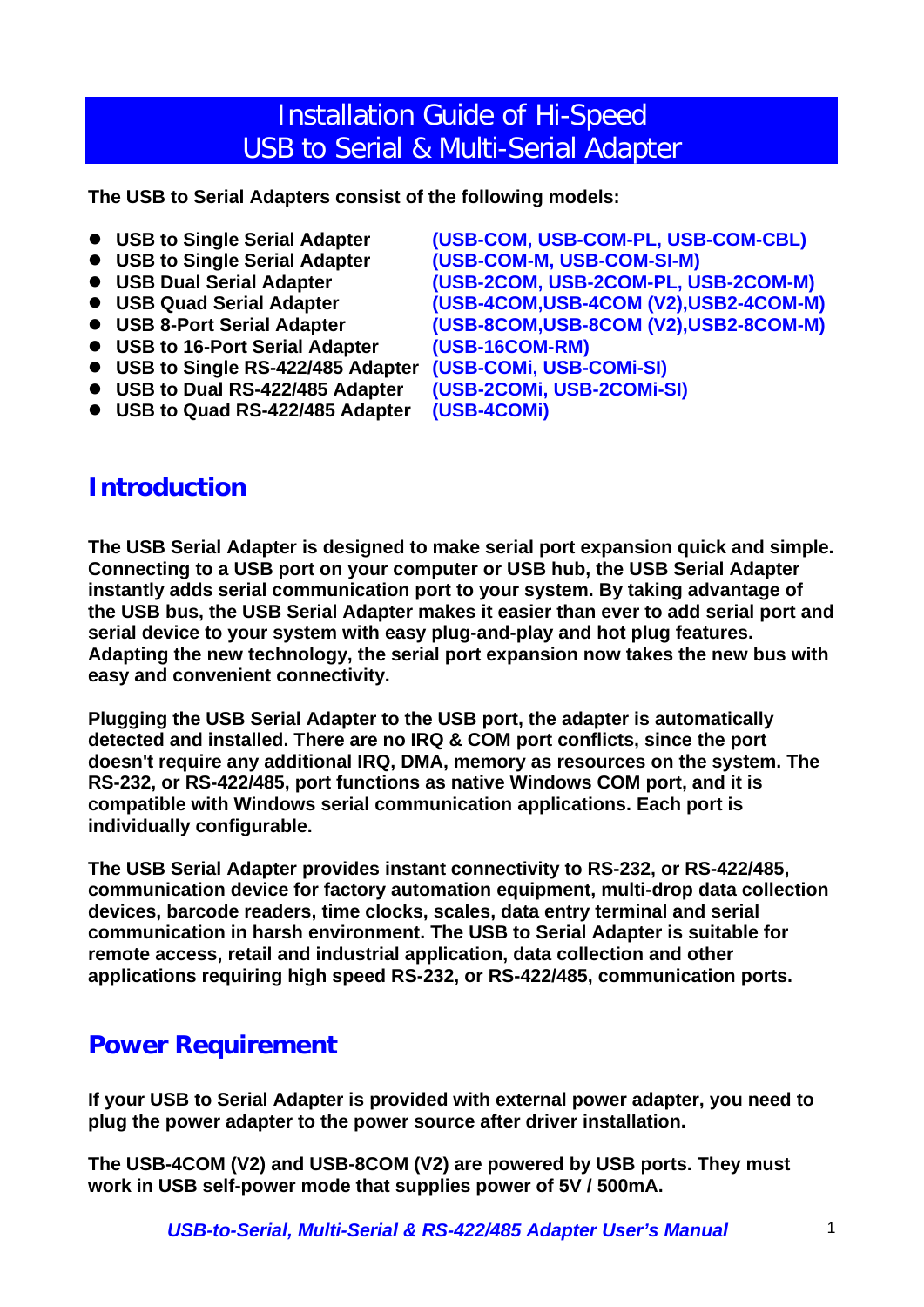# Installation Guide of Hi-Speed USB to Serial & Multi-Serial Adapter

**The USB to Serial Adapters consist of the following models:** 

- **USB to Single Serial Adapter (USB-COM, USB-COM-PL, USB-COM-CBL)**
- **USB to Single Serial Adapter (USB-COM-M, USB-COM-SI-M)**
- 
- 
- 
- USB to 16-Port Serial Adapter (USB-16COM-RM)
- **USB to Single RS-422/485 Adapter (USB-COMi, USB-COMi-SI)**
- **USB to Dual RS-422/485 Adapter (USB-2COMi, USB-2COMi-SI)**
- USB to Quad RS-422/485 Adapter (USB-4COMi)

**Introduction** 

● USB Dual Serial Adapter (USB-2COM, USB-2COM-PL, USB-2COM-M)<br>● USB Quad Serial Adapter (USB-4COM,USB-4COM (V2),USB2-4COM-M **(USB-4COM,USB-4COM (V2),USB2-4COM-M)** ● USB 8-Port Serial Adapter (USB-8COM, USB-8COM (V2), USB2-8COM-M)

**The USB Serial Adapter is designed to make serial port expansion quick and simple. Connecting to a USB port on your computer or USB hub, the USB Serial Adapter instantly adds serial communication port to your system. By taking advantage of the USB bus, the USB Serial Adapter makes it easier than ever to add serial port and serial device to your system with easy plug-and-play and hot plug features. Adapting the new technology, the serial port expansion now takes the new bus with easy and convenient connectivity.** 

**Plugging the USB Serial Adapter to the USB port, the adapter is automatically detected and installed. There are no IRQ & COM port conflicts, since the port doesn't require any additional IRQ, DMA, memory as resources on the system. The RS-232, or RS-422/485, port functions as native Windows COM port, and it is compatible with Windows serial communication applications. Each port is individually configurable.** 

**The USB Serial Adapter provides instant connectivity to RS-232, or RS-422/485, communication device for factory automation equipment, multi-drop data collection devices, barcode readers, time clocks, scales, data entry terminal and serial communication in harsh environment. The USB to Serial Adapter is suitable for remote access, retail and industrial application, data collection and other applications requiring high speed RS-232, or RS-422/485, communication ports.** 

#### **Power Requirement**

**If your USB to Serial Adapter is provided with external power adapter, you need to plug the power adapter to the power source after driver installation.** 

**The USB-4COM (V2) and USB-8COM (V2) are powered by USB ports. They must work in USB self-power mode that supplies power of 5V / 500mA.**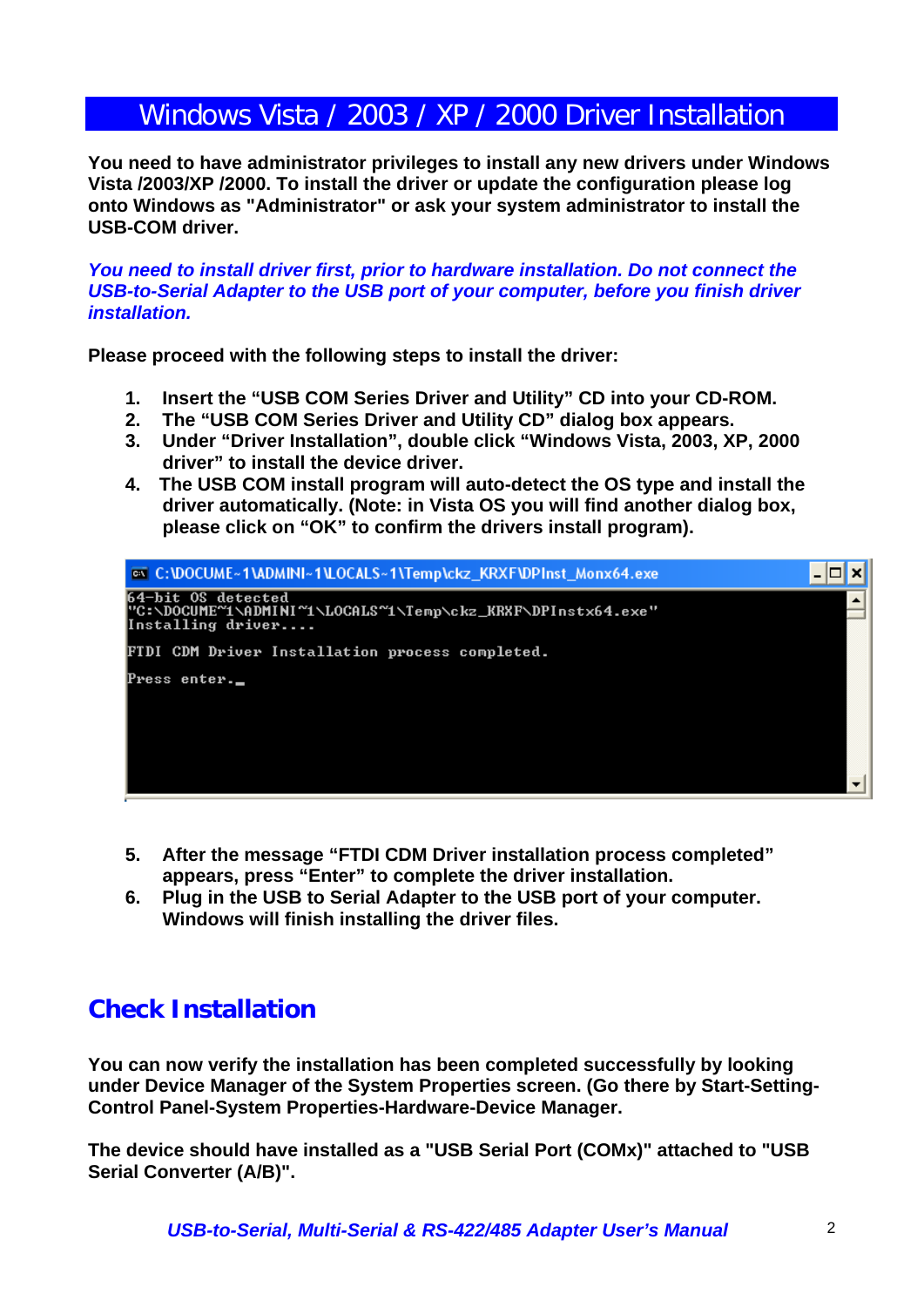# Windows Vista / 2003 / XP / 2000 Driver Installation

**You need to have administrator privileges to install any new drivers under Windows Vista /2003/XP /2000. To install the driver or update the configuration please log onto Windows as "Administrator" or ask your system administrator to install the USB-COM driver.** 

*You need to install driver first, prior to hardware installation. Do not connect the USB-to-Serial Adapter to the USB port of your computer, before you finish driver installation.* 

**Please proceed with the following steps to install the driver:** 

- **1. Insert the "USB COM Series Driver and Utility" CD into your CD-ROM.**
- **2. The "USB COM Series Driver and Utility CD" dialog box appears.**
- **3. Under "Driver Installation", double click "Windows Vista, 2003, XP, 2000 driver" to install the device driver.**
- **4. The USB COM install program will auto-detect the OS type and install the driver automatically. (Note: in Vista OS you will find another dialog box, please click on "OK" to confirm the drivers install program).**

| <b>EX C:\DOCUME~1\ADMINI~1\LOCALS~1\Temp\ckz_KRXF\DPInst_Monx64.exe</b>                                  |  |
|----------------------------------------------------------------------------------------------------------|--|
| 164-bit OS detected<br> "C:\DOCUME~1\ADMINI~1\LOCALS~1\Temp\ckz_KRXF\DPInstx64.exe"<br>Installing driver |  |
| FIDI CDM Driver Installation process completed.                                                          |  |
| Press enter._                                                                                            |  |
|                                                                                                          |  |
|                                                                                                          |  |
|                                                                                                          |  |

- **5. After the message "FTDI CDM Driver installation process completed" appears, press "Enter" to complete the driver installation.**
- **6. Plug in the USB to Serial Adapter to the USB port of your computer. Windows will finish installing the driver files.**

# **Check Installation**

**You can now verify the installation has been completed successfully by looking under Device Manager of the System Properties screen. (Go there by Start-Setting-Control Panel-System Properties-Hardware-Device Manager.** 

**The device should have installed as a "USB Serial Port (COMx)" attached to "USB Serial Converter (A/B)".**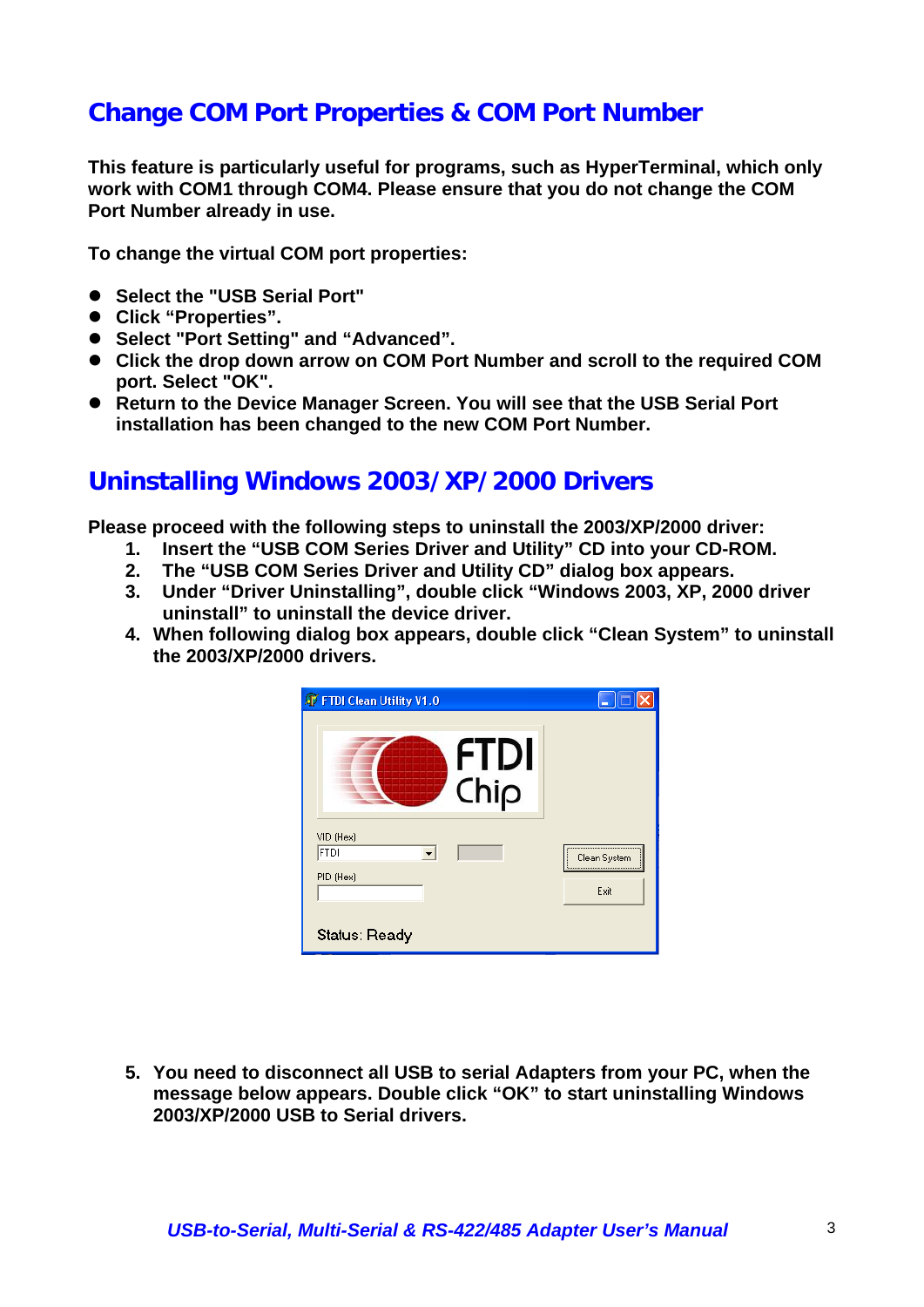# **Change COM Port Properties & COM Port Number**

**This feature is particularly useful for programs, such as HyperTerminal, which only work with COM1 through COM4. Please ensure that you do not change the COM Port Number already in use.** 

**To change the virtual COM port properties:** 

- **Select the "USB Serial Port"**
- z **Click "Properties".**
- Select "Port Setting" and "Advanced".
- Click the drop down arrow on COM Port Number and scroll to the required COM **port. Select "OK".**
- Return to the Device Manager Screen. You will see that the USB Serial Port **installation has been changed to the new COM Port Number.**

#### **Uninstalling Windows 2003/XP/2000 Drivers**

**Please proceed with the following steps to uninstall the 2003/XP/2000 driver:** 

- **1. Insert the "USB COM Series Driver and Utility" CD into your CD-ROM.**
- **2. The "USB COM Series Driver and Utility CD" dialog box appears.**
- **3. Under "Driver Uninstalling", double click "Windows 2003, XP, 2000 driver uninstall" to uninstall the device driver.**
- **4. When following dialog box appears, double click "Clean System" to uninstall the 2003/XP/2000 drivers.**



**5. You need to disconnect all USB to serial Adapters from your PC, when the message below appears. Double click "OK" to start uninstalling Windows 2003/XP/2000 USB to Serial drivers.**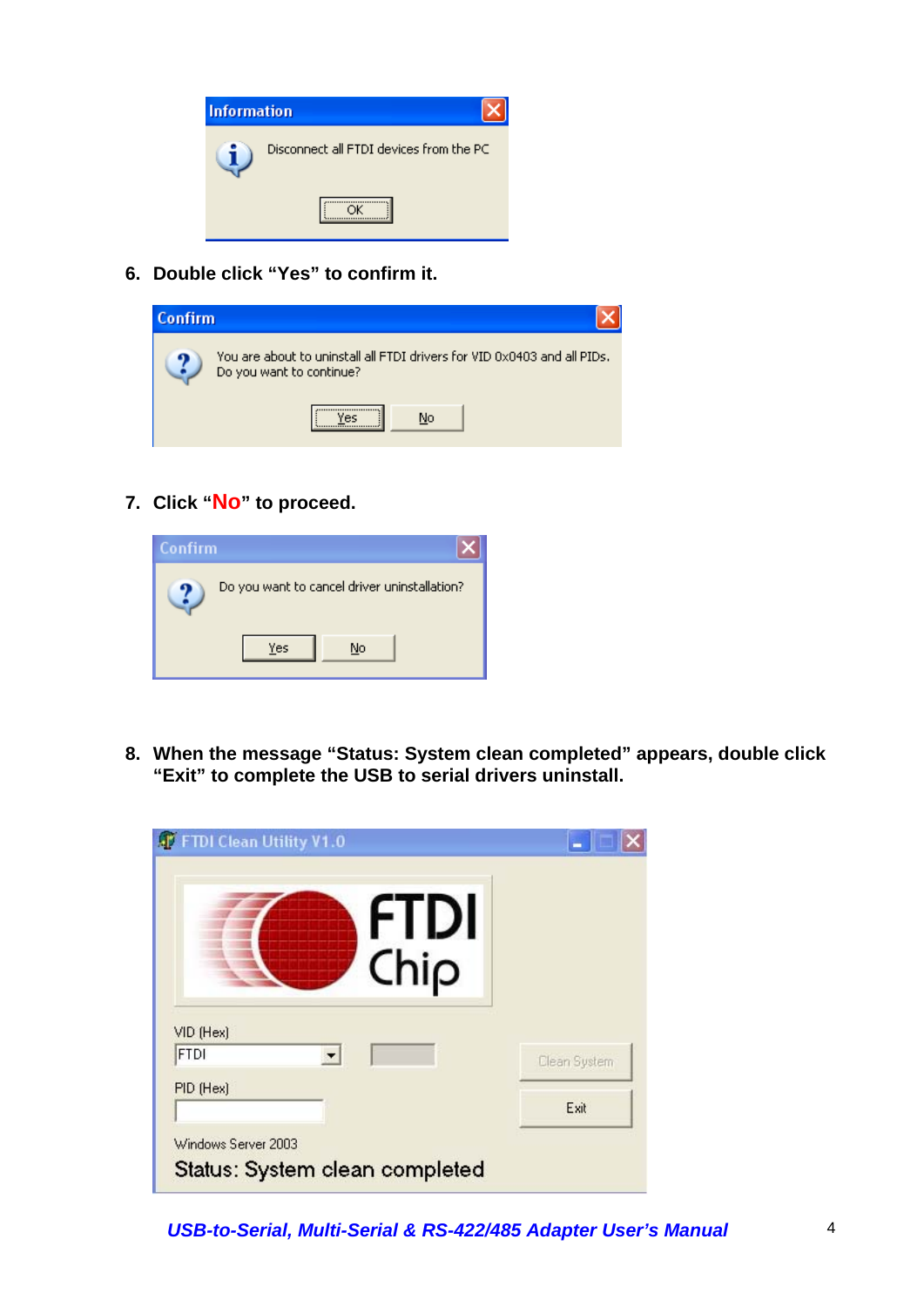

**6. Double click "Yes" to confirm it.** 

| Confirm |                                                                                                      |
|---------|------------------------------------------------------------------------------------------------------|
|         | You are about to uninstall all FTDI drivers for VID 0x0403 and all PIDs.<br>Do you want to continue? |
|         | No                                                                                                   |

**7. Click "No" to proceed.** 

| <b>Confirm</b> |                                              |  |
|----------------|----------------------------------------------|--|
|                | Do you want to cancel driver uninstallation? |  |
|                | Yes<br>No                                    |  |

**8. When the message "Status: System clean completed" appears, double click "Exit" to complete the USB to serial drivers uninstall.** 

| <b>AT FTDI Clean Utility V1.0</b> |              |
|-----------------------------------|--------------|
| <b>FTDI</b>                       |              |
| Chip                              |              |
| VID (Hex)                         |              |
| <b>FTDI</b>                       |              |
|                                   | Clean System |
| PID (Hex)                         | Exit         |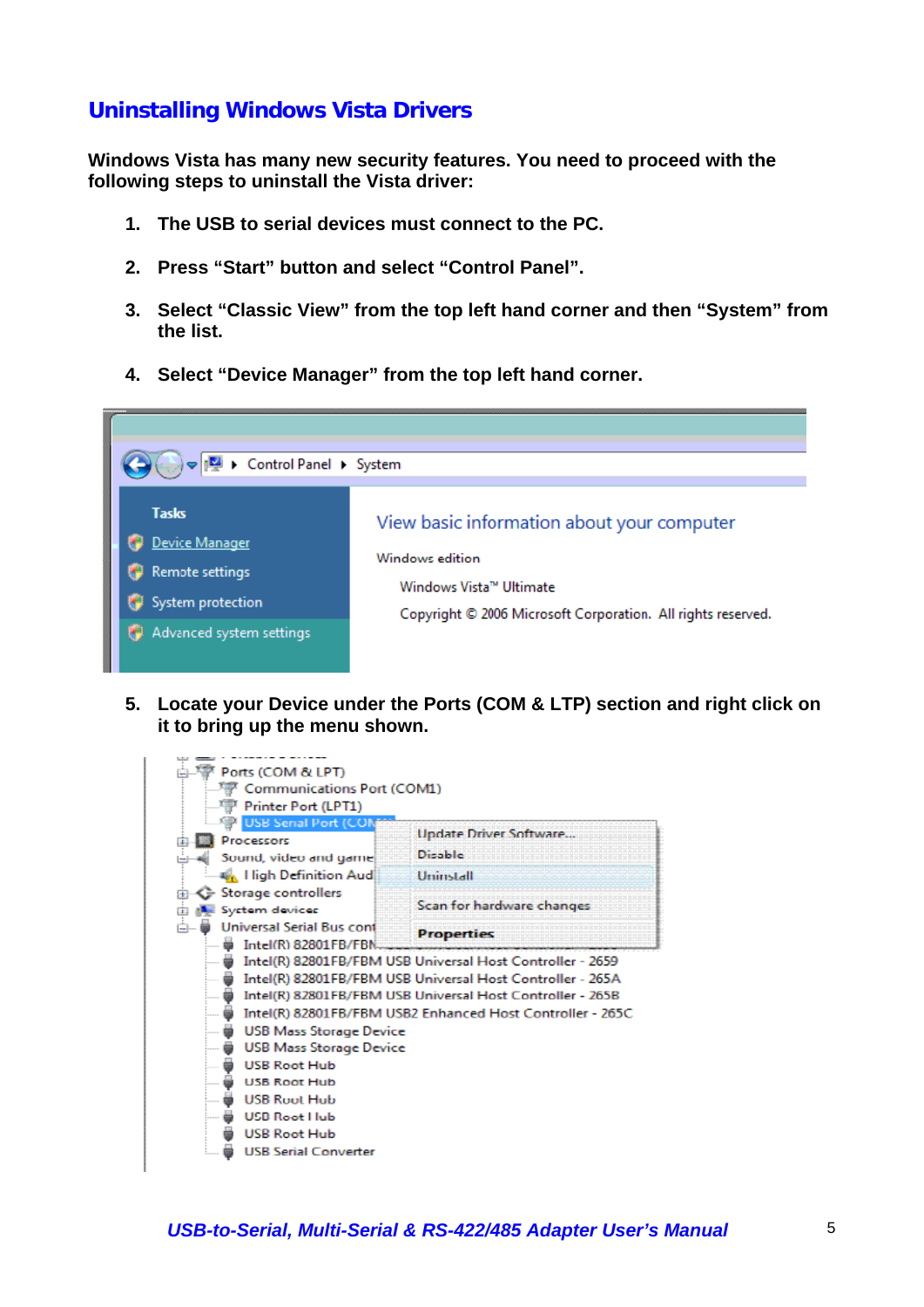#### **Uninstalling Windows Vista Drivers**

**Windows Vista has many new security features. You need to proceed with the following steps to uninstall the Vista driver:** 

- **1. The USB to serial devices must connect to the PC.**
- **2. Press "Start" button and select "Control Panel".**
- **3. Select "Classic View" from the top left hand corner and then "System" from the list.**
- **4. Select "Device Manager" from the top left hand corner.**



**5. Locate your Device under the Ports (COM & LTP) section and right click on it to bring up the menu shown.** 

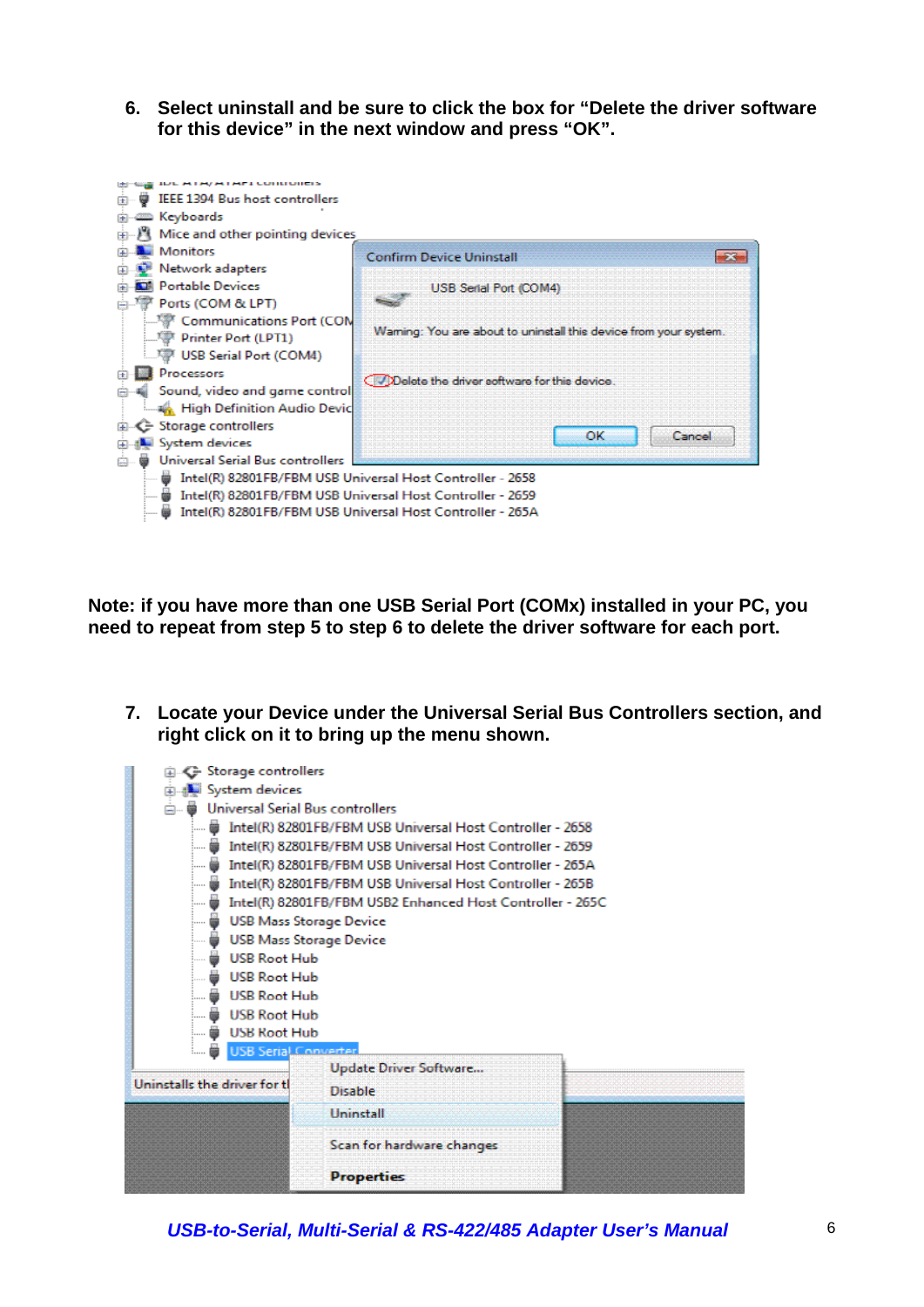**6. Select uninstall and be sure to click the box for "Delete the driver software for this device" in the next window and press "OK".** 



**Note: if you have more than one USB Serial Port (COMx) installed in your PC, you need to repeat from step 5 to step 6 to delete the driver software for each port.** 

**7. Locate your Device under the Universal Serial Bus Controllers section, and right click on it to bring up the menu shown.** 



*USB-to-Serial, Multi-Serial & RS-422/485 Adapter User's Manual* 6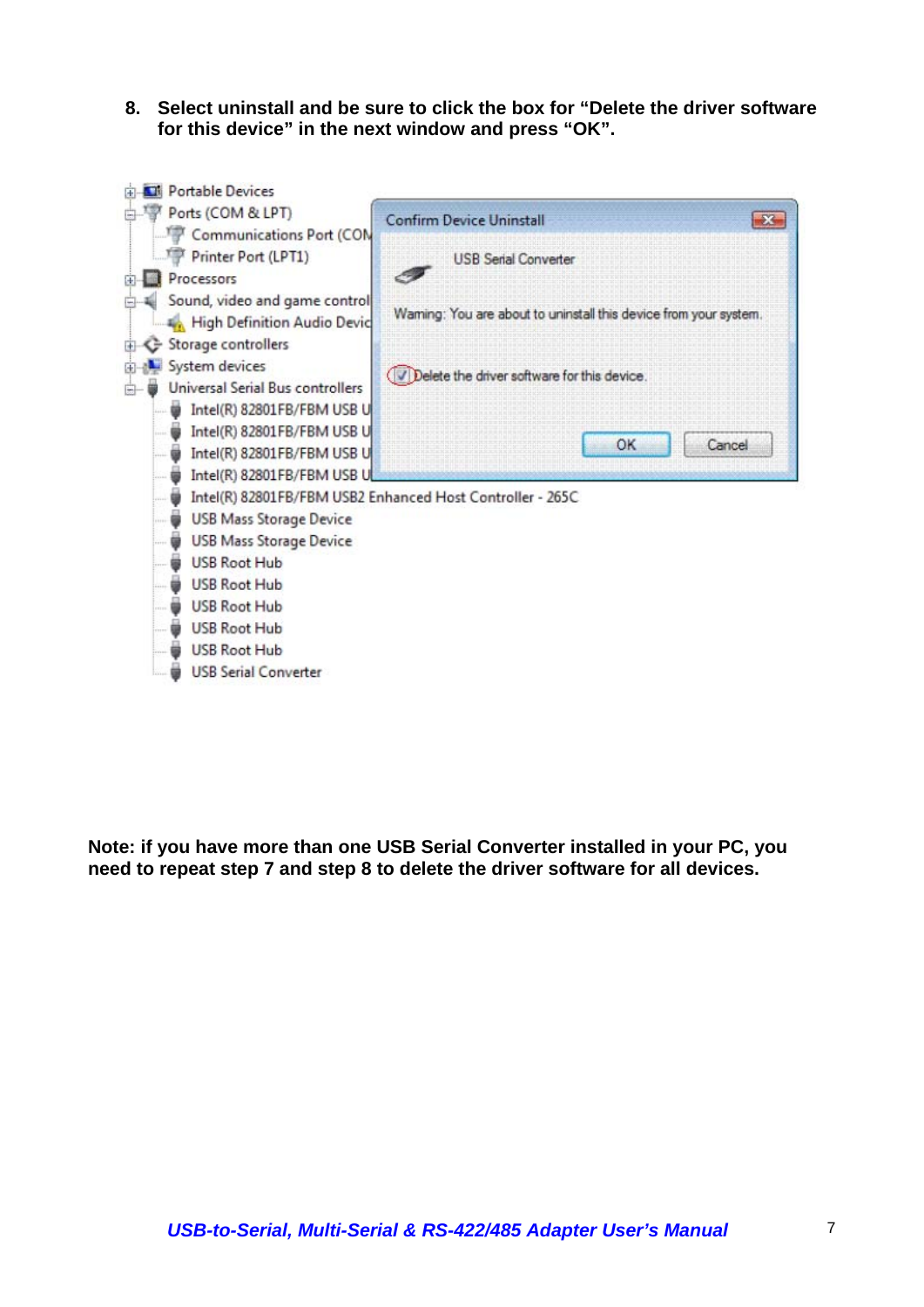**8. Select uninstall and be sure to click the box for "Delete the driver software for this device" in the next window and press "OK".** 



**Note: if you have more than one USB Serial Converter installed in your PC, you need to repeat step 7 and step 8 to delete the driver software for all devices.**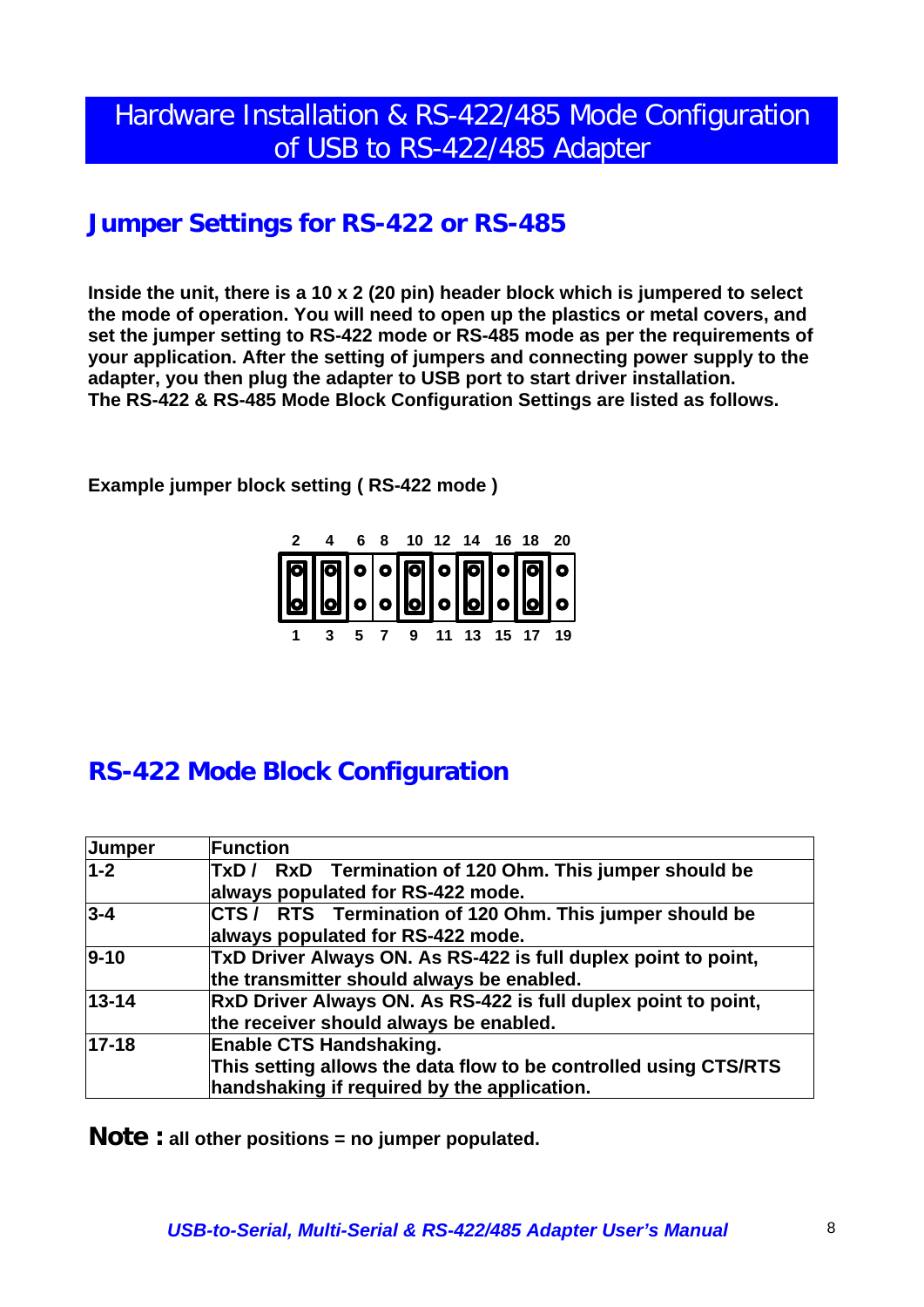# Hardware Installation & RS-422/485 Mode Configuration of USB to RS-422/485 Adapter

## **Jumper Settings for RS-422 or RS-485**

**Inside the unit, there is a 10 x 2 (20 pin) header block which is jumpered to select the mode of operation. You will need to open up the plastics or metal covers, and set the jumper setting to RS-422 mode or RS-485 mode as per the requirements of your application. After the setting of jumpers and connecting power supply to the adapter, you then plug the adapter to USB port to start driver installation. The RS-422 & RS-485 Mode Block Configuration Settings are listed as follows.** 

**Example jumper block setting ( RS-422 mode )** 



# **RS-422 Mode Block Configuration**

| Jumper    | <b>Function</b>                                                                                                                                   |  |
|-----------|---------------------------------------------------------------------------------------------------------------------------------------------------|--|
| $1-2$     | TxD/ RxD Termination of 120 Ohm. This jumper should be<br>always populated for RS-422 mode.                                                       |  |
| $3 - 4$   | CTS/ RTS Termination of 120 Ohm. This jumper should be<br>always populated for RS-422 mode.                                                       |  |
| $9 - 10$  | TxD Driver Always ON. As RS-422 is full duplex point to point,<br>the transmitter should always be enabled.                                       |  |
| $13 - 14$ | RxD Driver Always ON. As RS-422 is full duplex point to point,<br>the receiver should always be enabled.                                          |  |
| $17 - 18$ | <b>Enable CTS Handshaking.</b><br>This setting allows the data flow to be controlled using CTS/RTS<br>handshaking if required by the application. |  |

**Note : all other positions = no jumper populated.**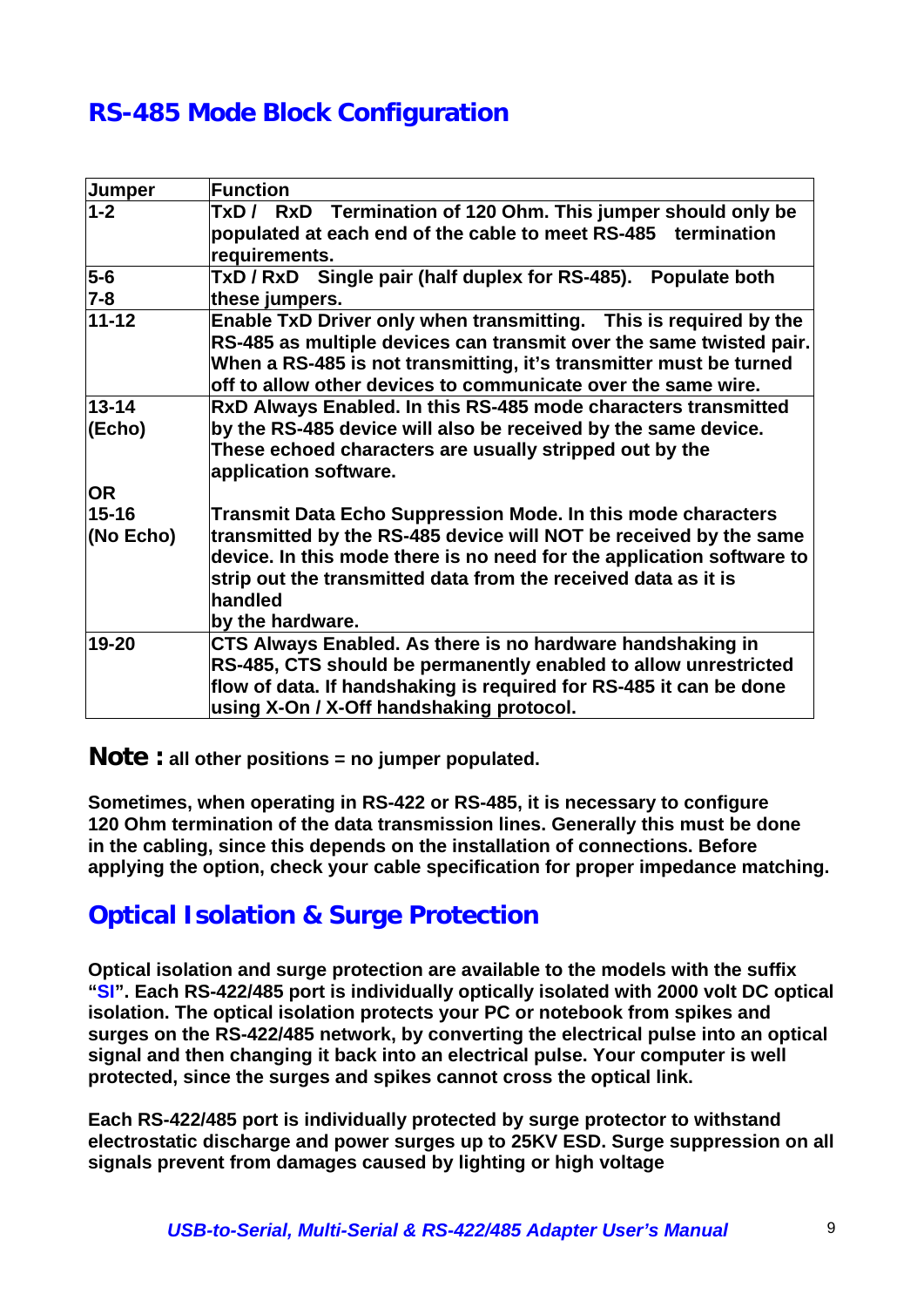# **RS-485 Mode Block Configuration**

| <b>Jumper</b>                                                                  | <b>Function</b>                                                       |
|--------------------------------------------------------------------------------|-----------------------------------------------------------------------|
| $1-2$                                                                          | TxD/ RxD Termination of 120 Ohm. This jumper should only be           |
|                                                                                | populated at each end of the cable to meet RS-485 termination         |
|                                                                                | requirements.                                                         |
| $5-6$                                                                          | TxD / RxD Single pair (half duplex for RS-485). Populate both         |
| 7-8                                                                            | these jumpers.                                                        |
| $11 - 12$<br>Enable TxD Driver only when transmitting. This is required by the |                                                                       |
|                                                                                | RS-485 as multiple devices can transmit over the same twisted pair.   |
|                                                                                | When a RS-485 is not transmitting, it's transmitter must be turned    |
|                                                                                | off to allow other devices to communicate over the same wire.         |
| $13 - 14$                                                                      | RxD Always Enabled. In this RS-485 mode characters transmitted        |
| (Echo)                                                                         | by the RS-485 device will also be received by the same device.        |
|                                                                                | These echoed characters are usually stripped out by the               |
|                                                                                | application software.                                                 |
| <b>OR</b>                                                                      |                                                                       |
| $15 - 16$                                                                      | Transmit Data Echo Suppression Mode. In this mode characters          |
| (No Echo)                                                                      | transmitted by the RS-485 device will NOT be received by the same     |
|                                                                                | device. In this mode there is no need for the application software to |
|                                                                                | strip out the transmitted data from the received data as it is        |
|                                                                                | handled                                                               |
|                                                                                | by the hardware.                                                      |
| 19-20                                                                          | CTS Always Enabled. As there is no hardware handshaking in            |
|                                                                                | RS-485, CTS should be permanently enabled to allow unrestricted       |
|                                                                                | flow of data. If handshaking is required for RS-485 it can be done    |
|                                                                                | using X-On / X-Off handshaking protocol.                              |

**Note : all other positions = no jumper populated.** 

**Sometimes, when operating in RS-422 or RS-485, it is necessary to configure 120 Ohm termination of the data transmission lines. Generally this must be done in the cabling, since this depends on the installation of connections. Before applying the option, check your cable specification for proper impedance matching.** 

# **Optical Isolation & Surge Protection**

**Optical isolation and surge protection are available to the models with the suffix "SI". Each RS-422/485 port is individually optically isolated with 2000 volt DC optical isolation. The optical isolation protects your PC or notebook from spikes and surges on the RS-422/485 network, by converting the electrical pulse into an optical signal and then changing it back into an electrical pulse. Your computer is well protected, since the surges and spikes cannot cross the optical link.** 

**Each RS-422/485 port is individually protected by surge protector to withstand electrostatic discharge and power surges up to 25KV ESD. Surge suppression on all signals prevent from damages caused by lighting or high voltage**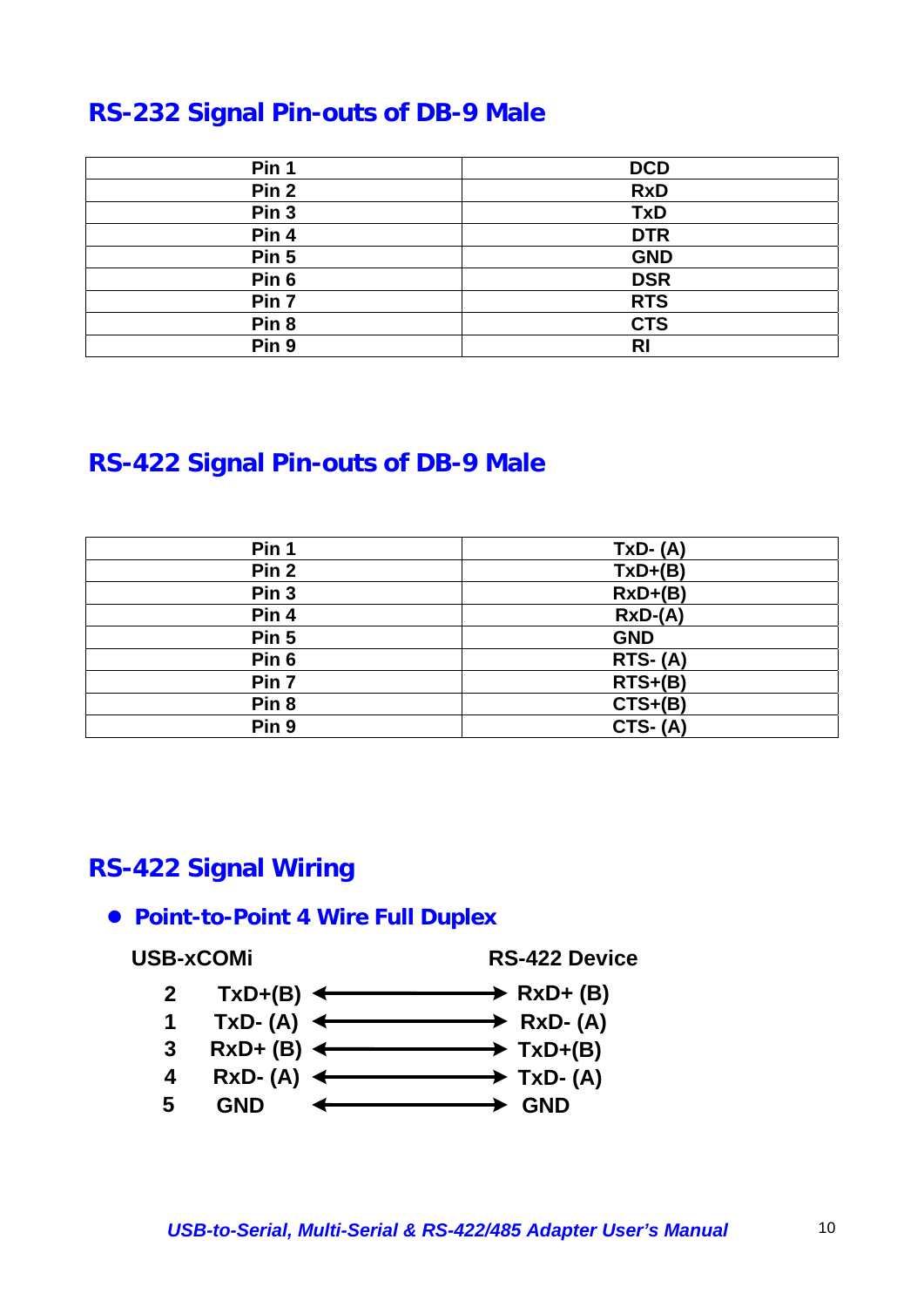# **RS-232 Signal Pin-outs of DB-9 Male**

| Pin 1            | <b>DCD</b> |
|------------------|------------|
| Pin <sub>2</sub> | <b>RxD</b> |
| Pin <sub>3</sub> | <b>TxD</b> |
| Pin 4            | <b>DTR</b> |
| Pin 5            | <b>GND</b> |
| Pin 6            | <b>DSR</b> |
| Pin 7            | <b>RTS</b> |
| Pin <sub>8</sub> | <b>CTS</b> |
| Pin 9            | RI         |

# **RS-422 Signal Pin-outs of DB-9 Male**

| Pin 1            | $TxD-(A)$  |
|------------------|------------|
| Pin <sub>2</sub> | $TxD+(B)$  |
| Pin <sub>3</sub> | $RxD+(B)$  |
| Pin 4            | $RxD-(A)$  |
| Pin <sub>5</sub> | <b>GND</b> |
| Pin <sub>6</sub> | $RTS- (A)$ |
| Pin 7            | $RTS+(B)$  |
| Pin <sub>8</sub> | $CTS+(B)$  |
| Pin <sub>9</sub> | $CTS- (A)$ |

## **RS-422 Signal Wiring**

#### **• Point-to-Point 4 Wire Full Duplex**

**USB-xCOMi RS-422 Device**

- **2 TxD+(B)** ← RxD+ (B)
- **RxD- (A) 1 TxD- (A)**
- **TxD+(B) 3 RxD+ (B)**
- **TxD- (A) RxD- (A) 4**
- **GND 5 GND**